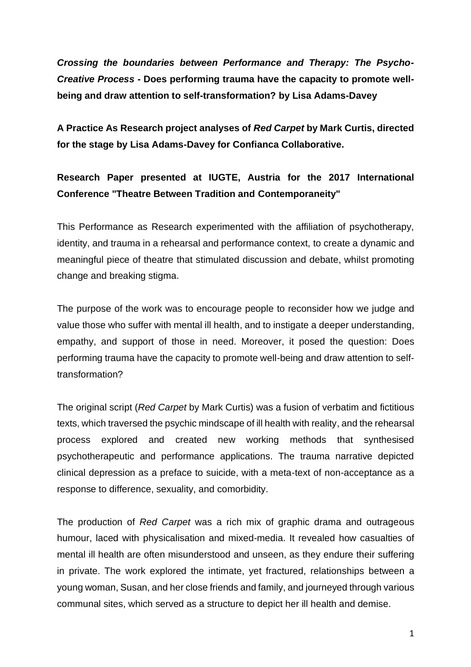*Crossing the boundaries between Performance and Therapy: The Psycho-Creative Process -* **Does performing trauma have the capacity to promote wellbeing and draw attention to self-transformation? by Lisa Adams-Davey**

**A Practice As Research project analyses of** *Red Carpet* **by Mark Curtis, directed for the stage by Lisa Adams-Davey for Confianca Collaborative.** 

## **Research Paper presented at IUGTE, Austria for the 2017 International Conference "Theatre Between Tradition and Contemporaneity"**

This Performance as Research experimented with the affiliation of psychotherapy, identity, and trauma in a rehearsal and performance context, to create a dynamic and meaningful piece of theatre that stimulated discussion and debate, whilst promoting change and breaking stigma.

The purpose of the work was to encourage people to reconsider how we judge and value those who suffer with mental ill health, and to instigate a deeper understanding, empathy, and support of those in need. Moreover, it posed the question: Does performing trauma have the capacity to promote well-being and draw attention to selftransformation?

The original script (*Red Carpet* by Mark Curtis) was a fusion of verbatim and fictitious texts, which traversed the psychic mindscape of ill health with reality, and the rehearsal process explored and created new working methods that synthesised psychotherapeutic and performance applications. The trauma narrative depicted clinical depression as a preface to suicide, with a meta-text of non-acceptance as a response to difference, sexuality, and comorbidity.

The production of *Red Carpet* was a rich mix of graphic drama and outrageous humour, laced with physicalisation and mixed-media. It revealed how casualties of mental ill health are often misunderstood and unseen, as they endure their suffering in private. The work explored the intimate, yet fractured, relationships between a young woman, Susan, and her close friends and family, and journeyed through various communal sites, which served as a structure to depict her ill health and demise.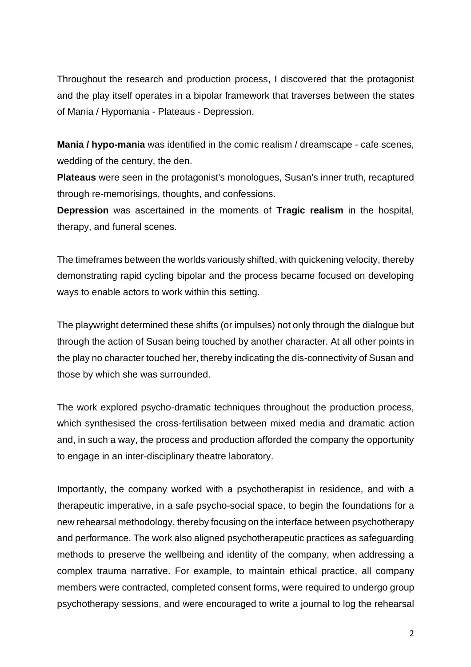Throughout the research and production process, I discovered that the protagonist and the play itself operates in a bipolar framework that traverses between the states of Mania / Hypomania - Plateaus - Depression.

**Mania / hypo-mania** was identified in the comic realism / dreamscape - cafe scenes, wedding of the century, the den.

**Plateaus** were seen in the protagonist's monologues, Susan's inner truth, recaptured through re-memorisings, thoughts, and confessions.

**Depression** was ascertained in the moments of **Tragic realism** in the hospital, therapy, and funeral scenes.

The timeframes between the worlds variously shifted, with quickening velocity, thereby demonstrating rapid cycling bipolar and the process became focused on developing ways to enable actors to work within this setting.

The playwright determined these shifts (or impulses) not only through the dialogue but through the action of Susan being touched by another character. At all other points in the play no character touched her, thereby indicating the dis-connectivity of Susan and those by which she was surrounded.

The work explored psycho-dramatic techniques throughout the production process, which synthesised the cross-fertilisation between mixed media and dramatic action and, in such a way, the process and production afforded the company the opportunity to engage in an inter-disciplinary theatre laboratory.

Importantly, the company worked with a psychotherapist in residence, and with a therapeutic imperative, in a safe psycho-social space, to begin the foundations for a new rehearsal methodology, thereby focusing on the interface between psychotherapy and performance. The work also aligned psychotherapeutic practices as safeguarding methods to preserve the wellbeing and identity of the company, when addressing a complex trauma narrative. For example, to maintain ethical practice, all company members were contracted, completed consent forms, were required to undergo group psychotherapy sessions, and were encouraged to write a journal to log the rehearsal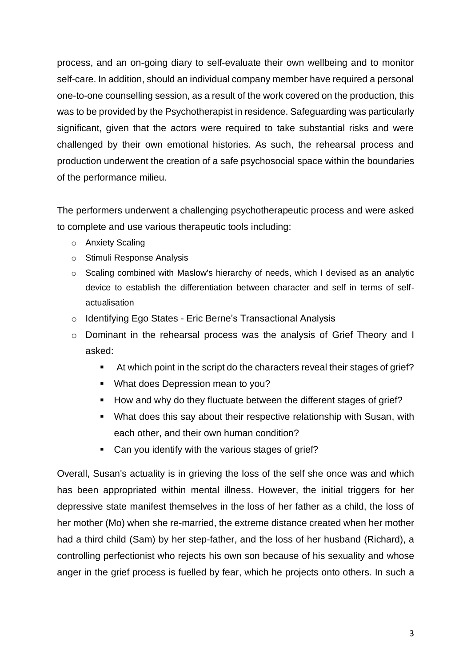process, and an on-going diary to self-evaluate their own wellbeing and to monitor self-care. In addition, should an individual company member have required a personal one-to-one counselling session, as a result of the work covered on the production, this was to be provided by the Psychotherapist in residence. Safeguarding was particularly significant, given that the actors were required to take substantial risks and were challenged by their own emotional histories. As such, the rehearsal process and production underwent the creation of a safe psychosocial space within the boundaries of the performance milieu.

The performers underwent a challenging psychotherapeutic process and were asked to complete and use various therapeutic tools including:

- o Anxiety Scaling
- o Stimuli Response Analysis
- $\circ$  Scaling combined with Maslow's hierarchy of needs, which I devised as an analytic device to establish the differentiation between character and self in terms of selfactualisation
- o Identifying Ego States Eric Berne's Transactional Analysis
- o Dominant in the rehearsal process was the analysis of Grief Theory and I asked:
	- At which point in the script do the characters reveal their stages of grief?
	- What does Depression mean to you?
	- How and why do they fluctuate between the different stages of grief?
	- What does this say about their respective relationship with Susan, with each other, and their own human condition?
	- Can you identify with the various stages of grief?

Overall, Susan's actuality is in grieving the loss of the self she once was and which has been appropriated within mental illness. However, the initial triggers for her depressive state manifest themselves in the loss of her father as a child, the loss of her mother (Mo) when she re-married, the extreme distance created when her mother had a third child (Sam) by her step-father, and the loss of her husband (Richard), a controlling perfectionist who rejects his own son because of his sexuality and whose anger in the grief process is fuelled by fear, which he projects onto others. In such a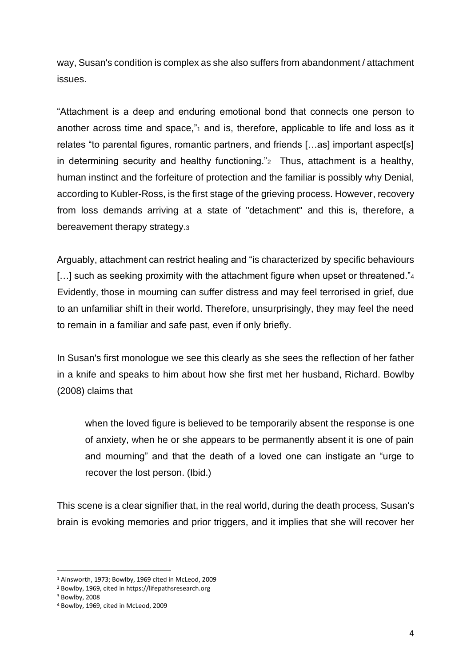way, Susan's condition is complex as she also suffers from abandonment / attachment issues.

"Attachment is a deep and enduring emotional bond that connects one person to another across time and space,"1 and is, therefore, applicable to life and loss as it relates "to parental figures, romantic partners, and friends […as] important aspect[s] in determining security and healthy functioning."<sup>2</sup> Thus, attachment is a healthy, human instinct and the forfeiture of protection and the familiar is possibly why Denial, according to Kubler-Ross, is the first stage of the grieving process. However, recovery from loss demands arriving at a state of "detachment" and this is, therefore, a bereavement therapy strategy.<sup>3</sup>

Arguably, attachment can restrict healing and "is characterized by specific behaviours [...] such as seeking proximity with the attachment figure when upset or threatened."4 Evidently, those in mourning can suffer distress and may feel terrorised in grief, due to an unfamiliar shift in their world. Therefore, unsurprisingly, they may feel the need to remain in a familiar and safe past, even if only briefly.

In Susan's first monologue we see this clearly as she sees the reflection of her father in a knife and speaks to him about how she first met her husband, Richard. Bowlby (2008) claims that

when the loved figure is believed to be temporarily absent the response is one of anxiety, when he or she appears to be permanently absent it is one of pain and mourning" and that the death of a loved one can instigate an "urge to recover the lost person. (Ibid.)

This scene is a clear signifier that, in the real world, during the death process, Susan's brain is evoking memories and prior triggers, and it implies that she will recover her

<sup>1</sup> Ainsworth, 1973; Bowlby, 1969 cited in McLeod, 2009

<sup>2</sup> Bowlby, 1969, cited in https://lifepathsresearch.org

<sup>3</sup> Bowlby, 2008

<sup>4</sup> Bowlby, 1969, cited in McLeod, 2009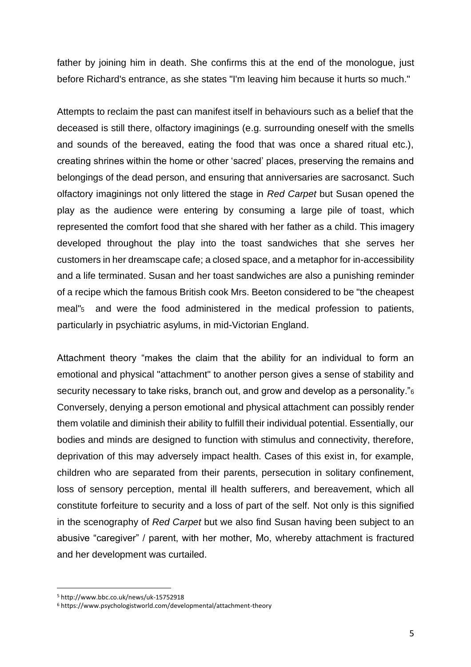father by joining him in death. She confirms this at the end of the monologue, just before Richard's entrance, as she states "I'm leaving him because it hurts so much."

Attempts to reclaim the past can manifest itself in behaviours such as a belief that the deceased is still there, olfactory imaginings (e.g. surrounding oneself with the smells and sounds of the bereaved, eating the food that was once a shared ritual etc.), creating shrines within the home or other 'sacred' places, preserving the remains and belongings of the dead person, and ensuring that anniversaries are sacrosanct. Such olfactory imaginings not only littered the stage in *Red Carpet* but Susan opened the play as the audience were entering by consuming a large pile of toast, which represented the comfort food that she shared with her father as a child. This imagery developed throughout the play into the toast sandwiches that she serves her customers in her dreamscape cafe; a closed space, and a metaphor for in-accessibility and a life terminated. Susan and her toast sandwiches are also a punishing reminder of a recipe which the famous British cook Mrs. Beeton considered to be "the cheapest meal"<sup>5</sup> and were the food administered in the medical profession to patients, particularly in psychiatric asylums, in mid-Victorian England.

Attachment theory "makes the claim that the ability for an individual to form an emotional and physical "attachment" to another person gives a sense of stability and security necessary to take risks, branch out, and grow and develop as a personality."<sup>6</sup> Conversely, denying a person emotional and physical attachment can possibly render them volatile and diminish their ability to fulfill their individual potential. Essentially, our bodies and minds are designed to function with stimulus and connectivity, therefore, deprivation of this may adversely impact health. Cases of this exist in, for example, children who are separated from their parents, persecution in solitary confinement, loss of sensory perception, mental ill health sufferers, and bereavement, which all constitute forfeiture to security and a loss of part of the self. Not only is this signified in the scenography of *Red Carpet* but we also find Susan having been subject to an abusive "caregiver" / parent, with her mother, Mo, whereby attachment is fractured and her development was curtailed.

<sup>5</sup> http://www.bbc.co.uk/news/uk-15752918

<sup>6</sup> https://www.psychologistworld.com/developmental/attachment-theory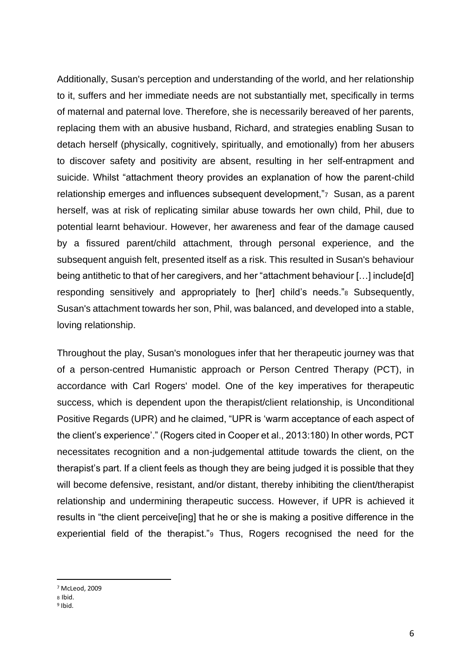Additionally, Susan's perception and understanding of the world, and her relationship to it, suffers and her immediate needs are not substantially met, specifically in terms of maternal and paternal love. Therefore, she is necessarily bereaved of her parents, replacing them with an abusive husband, Richard, and strategies enabling Susan to detach herself (physically, cognitively, spiritually, and emotionally) from her abusers to discover safety and positivity are absent, resulting in her self-entrapment and suicide. Whilst "attachment theory provides an explanation of how the parent-child relationship emerges and influences subsequent development,"<sup>7</sup> Susan, as a parent herself, was at risk of replicating similar abuse towards her own child, Phil, due to potential learnt behaviour. However, her awareness and fear of the damage caused by a fissured parent/child attachment, through personal experience, and the subsequent anguish felt, presented itself as a risk. This resulted in Susan's behaviour being antithetic to that of her caregivers, and her "attachment behaviour […] include[d] responding sensitively and appropriately to [her] child's needs."<sup>8</sup> Subsequently, Susan's attachment towards her son, Phil, was balanced, and developed into a stable, loving relationship.

Throughout the play, Susan's monologues infer that her therapeutic journey was that of a person-centred Humanistic approach or Person Centred Therapy (PCT), in accordance with Carl Rogers' model. One of the key imperatives for therapeutic success, which is dependent upon the therapist/client relationship, is Unconditional Positive Regards (UPR) and he claimed, "UPR is 'warm acceptance of each aspect of the client's experience'." (Rogers cited in Cooper et al., 2013:180) In other words, PCT necessitates recognition and a non-judgemental attitude towards the client, on the therapist's part. If a client feels as though they are being judged it is possible that they will become defensive, resistant, and/or distant, thereby inhibiting the client/therapist relationship and undermining therapeutic success. However, if UPR is achieved it results in "the client perceive[ing] that he or she is making a positive difference in the experiential field of the therapist."<sup>9</sup> Thus, Rogers recognised the need for the

<sup>7</sup> McLeod, 2009

<sup>8</sup> Ibid.

<sup>&</sup>lt;sup>9</sup> Ibid.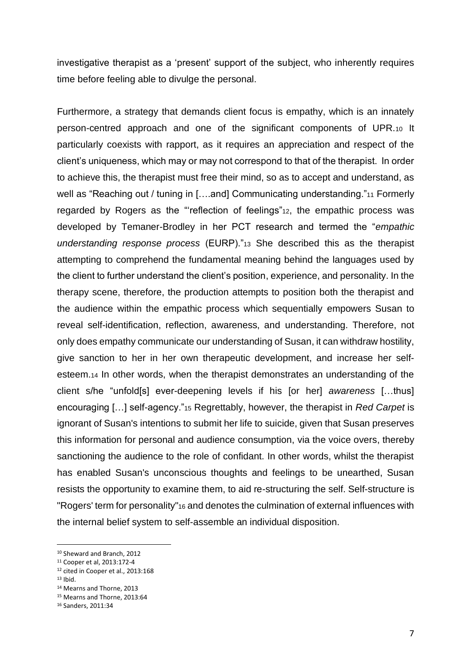investigative therapist as a 'present' support of the subject, who inherently requires time before feeling able to divulge the personal.

Furthermore, a strategy that demands client focus is empathy, which is an innately person-centred approach and one of the significant components of UPR.<sup>10</sup> It particularly coexists with rapport, as it requires an appreciation and respect of the client's uniqueness, which may or may not correspond to that of the therapist. In order to achieve this, the therapist must free their mind, so as to accept and understand, as well as "Reaching out / tuning in [....and] Communicating understanding."11 Formerly regarded by Rogers as the "'reflection of feelings"12, the empathic process was developed by Temaner-Brodley in her PCT research and termed the "*empathic understanding response process* (EURP)."<sup>13</sup> She described this as the therapist attempting to comprehend the fundamental meaning behind the languages used by the client to further understand the client's position, experience, and personality. In the therapy scene, therefore, the production attempts to position both the therapist and the audience within the empathic process which sequentially empowers Susan to reveal self-identification, reflection, awareness, and understanding. Therefore, not only does empathy communicate our understanding of Susan, it can withdraw hostility, give sanction to her in her own therapeutic development, and increase her selfesteem.<sup>14</sup> In other words, when the therapist demonstrates an understanding of the client s/he "unfold[s] ever-deepening levels if his [or her] *awareness* […thus] encouraging […] self-agency."<sup>15</sup> Regrettably, however, the therapist in *Red Carpet* is ignorant of Susan's intentions to submit her life to suicide, given that Susan preserves this information for personal and audience consumption, via the voice overs, thereby sanctioning the audience to the role of confidant. In other words, whilst the therapist has enabled Susan's unconscious thoughts and feelings to be unearthed, Susan resists the opportunity to examine them, to aid re-structuring the self. Self-structure is "Rogers' term for personality"<sup>16</sup> and denotes the culmination of external influences with the internal belief system to self-assemble an individual disposition.

<sup>10</sup> Sheward and Branch, 2012

<sup>11</sup> Cooper et al, 2013:172-4

<sup>12</sup> cited in Cooper et al., 2013:168

 $13$  Ibid.

<sup>14</sup> Mearns and Thorne, 2013

<sup>15</sup> Mearns and Thorne, 2013:64

<sup>16</sup> Sanders, 2011:34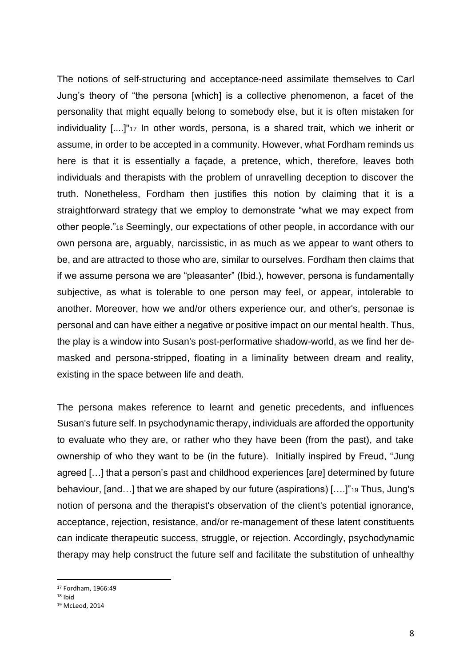The notions of self-structuring and acceptance-need assimilate themselves to Carl Jung's theory of "the persona [which] is a collective phenomenon, a facet of the personality that might equally belong to somebody else, but it is often mistaken for individuality [....]"<sup>17</sup> In other words, persona, is a shared trait, which we inherit or assume, in order to be accepted in a community. However, what Fordham reminds us here is that it is essentially a façade, a pretence, which, therefore, leaves both individuals and therapists with the problem of unravelling deception to discover the truth. Nonetheless, Fordham then justifies this notion by claiming that it is a straightforward strategy that we employ to demonstrate "what we may expect from other people."<sup>18</sup> Seemingly, our expectations of other people, in accordance with our own persona are, arguably, narcissistic, in as much as we appear to want others to be, and are attracted to those who are, similar to ourselves. Fordham then claims that if we assume persona we are "pleasanter" (Ibid.), however, persona is fundamentally subjective, as what is tolerable to one person may feel, or appear, intolerable to another. Moreover, how we and/or others experience our, and other's, personae is personal and can have either a negative or positive impact on our mental health. Thus, the play is a window into Susan's post-performative shadow-world, as we find her demasked and persona-stripped, floating in a liminality between dream and reality, existing in the space between life and death.

The persona makes reference to learnt and genetic precedents, and influences Susan's future self. In psychodynamic therapy, individuals are afforded the opportunity to evaluate who they are, or rather who they have been (from the past), and take ownership of who they want to be (in the future). Initially inspired by Freud, "Jung agreed […] that a person's past and [childhood experiences](http://www.simplypsychology.org/psychosexual.html) [are] determined by future behaviour, [and…] that we are shaped by our future (aspirations) [….]"<sup>19</sup> Thus, Jung's notion of persona and the therapist's observation of the client's potential ignorance, acceptance, rejection, resistance, and/or re-management of these latent constituents can indicate therapeutic success, struggle, or rejection. Accordingly, psychodynamic therapy may help construct the future self and facilitate the substitution of unhealthy

<sup>17</sup> Fordham, 1966:49

 $18$  Ihid

<sup>19</sup> McLeod, 2014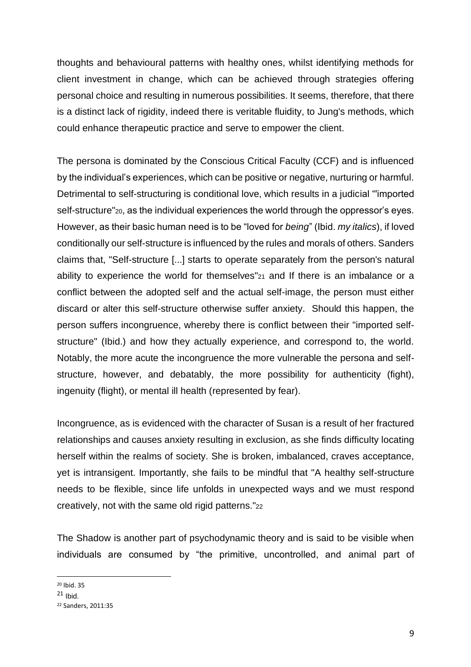thoughts and behavioural patterns with healthy ones, whilst identifying methods for client investment in change, which can be achieved through strategies offering personal choice and resulting in numerous possibilities. It seems, therefore, that there is a distinct lack of rigidity, indeed there is veritable fluidity, to Jung's methods, which could enhance therapeutic practice and serve to empower the client.

The persona is dominated by the Conscious Critical Faculty (CCF) and is influenced by the individual's experiences, which can be positive or negative, nurturing or harmful. Detrimental to self-structuring is conditional love, which results in a judicial "'imported self-structure"20, as the individual experiences the world through the oppressor's eyes. However, as their basic human need is to be "loved for *being*" (Ibid. *my italics*), if loved conditionally our self-structure is influenced by the rules and morals of others. Sanders claims that, "Self-structure [...] starts to operate separately from the person's natural ability to experience the world for themselves"<sup>21</sup> and If there is an imbalance or a conflict between the adopted self and the actual self-image, the person must either discard or alter this self-structure otherwise suffer anxiety. Should this happen, the person suffers incongruence, whereby there is conflict between their "imported selfstructure" (Ibid.) and how they actually experience, and correspond to, the world. Notably, the more acute the incongruence the more vulnerable the persona and selfstructure, however, and debatably, the more possibility for authenticity (fight), ingenuity (flight), or mental ill health (represented by fear).

Incongruence, as is evidenced with the character of Susan is a result of her fractured relationships and causes anxiety resulting in exclusion, as she finds difficulty locating herself within the realms of society. She is broken, imbalanced, craves acceptance, yet is intransigent. Importantly, she fails to be mindful that "A healthy self-structure needs to be flexible, since life unfolds in unexpected ways and we must respond creatively, not with the same old rigid patterns."<sup>22</sup>

The Shadow is another part of psychodynamic theory and is said to be visible when individuals are consumed by "the primitive, uncontrolled, and animal part of

<sup>20</sup> Ibid. 35

 $21$  Ibid.

<sup>22</sup> Sanders, 2011:35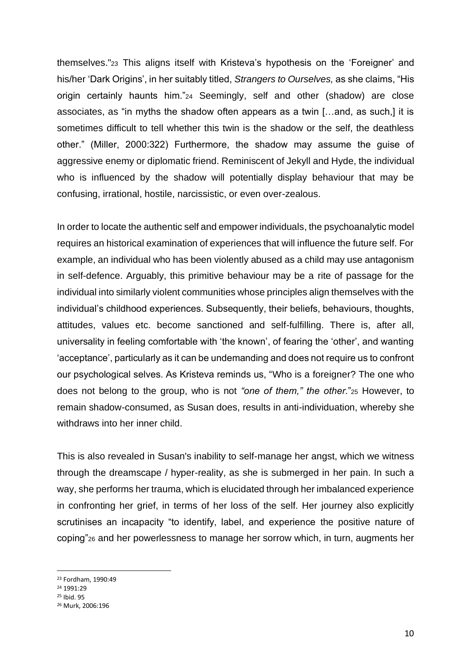themselves."<sup>23</sup> This aligns itself with Kristeva's hypothesis on the 'Foreigner' and his/her 'Dark Origins', in her suitably titled, *Strangers to Ourselves,* as she claims, "His origin certainly haunts him."<sup>24</sup> Seemingly, self and other (shadow) are close associates, as "in myths the shadow often appears as a twin […and, as such,] it is sometimes difficult to tell whether this twin is the shadow or the self, the deathless other." (Miller, 2000:322) Furthermore, the shadow may assume the guise of aggressive enemy or diplomatic friend. Reminiscent of Jekyll and Hyde, the individual who is influenced by the shadow will potentially display behaviour that may be confusing, irrational, hostile, narcissistic, or even over-zealous.

In order to locate the authentic self and empower individuals, the psychoanalytic model requires an historical examination of experiences that will influence the future self. For example, an individual who has been violently abused as a child may use antagonism in self-defence. Arguably, this primitive behaviour may be a rite of passage for the individual into similarly violent communities whose principles align themselves with the individual's childhood experiences. Subsequently, their beliefs, behaviours, thoughts, attitudes, values etc. become sanctioned and self-fulfilling. There is, after all, universality in feeling comfortable with 'the known', of fearing the 'other', and wanting 'acceptance', particularly as it can be undemanding and does not require us to confront our psychological selves. As Kristeva reminds us, "Who is a foreigner? The one who does not belong to the group, who is not *"one of them," the other.*"<sup>25</sup> However, to remain shadow-consumed, as Susan does, results in anti-individuation, whereby she withdraws into her inner child.

This is also revealed in Susan's inability to self-manage her angst, which we witness through the dreamscape / hyper-reality, as she is submerged in her pain. In such a way, she performs her trauma, which is elucidated through her imbalanced experience in confronting her grief, in terms of her loss of the self. Her journey also explicitly scrutinises an incapacity "to identify, label, and experience the positive nature of coping"<sup>26</sup> and her powerlessness to manage her sorrow which, in turn, augments her

<sup>23</sup> Fordham, 1990:49

<sup>24</sup> 1991:29

<sup>25</sup> Ibid. 95

<sup>26</sup> Murk, 2006:196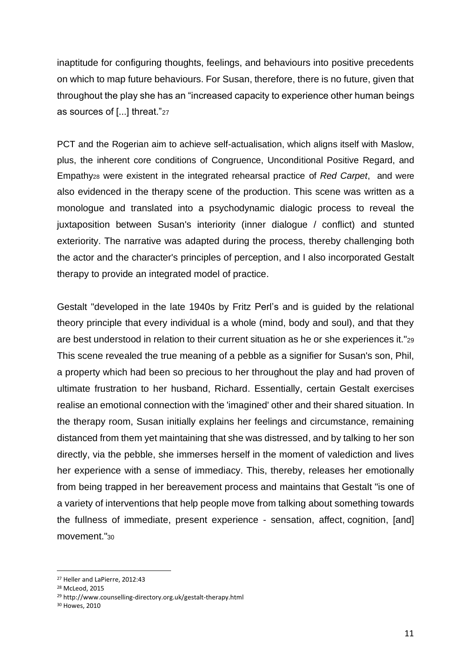inaptitude for configuring thoughts, feelings, and behaviours into positive precedents on which to map future behaviours. For Susan, therefore, there is no future, given that throughout the play she has an "increased capacity to experience other human beings as sources of [...] threat."<sup>27</sup>

PCT and the Rogerian aim to achieve self-actualisation, which aligns itself with Maslow, plus, the inherent core conditions of Congruence, Unconditional Positive Regard, and Empathy<sup>28</sup> were existent in the integrated rehearsal practice of *Red Carpet*, and were also evidenced in the therapy scene of the production. This scene was written as a monologue and translated into a psychodynamic dialogic process to reveal the juxtaposition between Susan's interiority (inner dialogue / conflict) and stunted exteriority. The narrative was adapted during the process, thereby challenging both the actor and the character's principles of perception, and I also incorporated Gestalt therapy to provide an integrated model of practice.

Gestalt "developed in the late 1940s by Fritz Perl's and is guided by the relational theory principle that every individual is a whole (mind, body and soul), and that they are best understood in relation to their current situation as he or she experiences it."<sup>29</sup> This scene revealed the true meaning of a pebble as a signifier for Susan's son, Phil, a property which had been so precious to her throughout the play and had proven of ultimate frustration to her husband, Richard. Essentially, certain Gestalt exercises realise an emotional connection with the 'imagined' other and their shared situation. In the therapy room, Susan initially explains her feelings and circumstance, remaining distanced from them yet maintaining that she was distressed, and by talking to her son directly, via the pebble, she immerses herself in the moment of valediction and lives her experience with a sense of immediacy. This, thereby, releases her emotionally from being trapped in her bereavement process and maintains that Gestalt "is one of a variety of interventions that help people move from talking about something towards the fullness of immediate, present experience - sensation, affect, [cognition,](https://www.psychologytoday.com/basics/cognition) [and] movement."<sup>30</sup>

<sup>27</sup> Heller and LaPierre, 2012:43

<sup>28</sup> McLeod, 2015

<sup>29</sup> http://www.counselling-directory.org.uk/gestalt-therapy.html

<sup>30</sup> Howes, 2010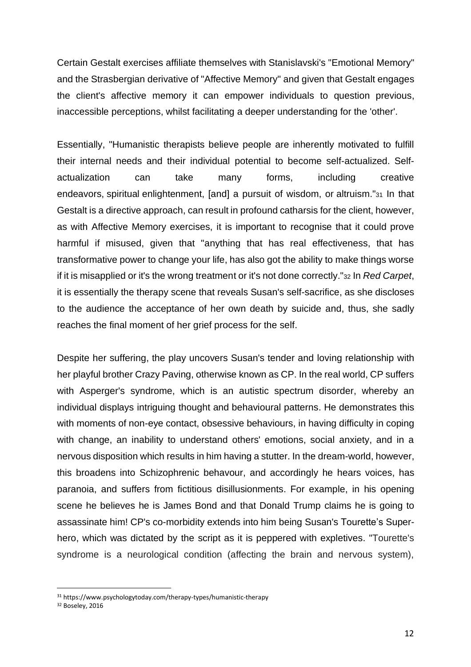Certain Gestalt exercises affiliate themselves with Stanislavski's "Emotional Memory" and the Strasbergian derivative of "Affective Memory" and given that Gestalt engages the client's affective memory it can empower individuals to question previous, inaccessible perceptions, whilst facilitating a deeper understanding for the 'other'.

Essentially, "Humanistic therapists believe people are inherently motivated to fulfill their internal needs and their individual potential to become self-actualized. Selfactualization can take many forms, including creative endeavors, [spiritual](https://www.psychologytoday.com/basics/spirituality) enlightenment, [and] a pursuit of wisdom, or [altruism.](https://www.psychologytoday.com/basics/altruism)"<sup>31</sup> In that Gestalt is a directive approach, can result in profound catharsis for the client, however, as with Affective Memory exercises, it is important to recognise that it could prove harmful if misused, given that "anything that has real effectiveness, that has transformative power to change your life, has also got the ability to make things worse if it is misapplied or it's the wrong treatment or it's not done correctly."<sup>32</sup> In *Red Carpet*, it is essentially the therapy scene that reveals Susan's self-sacrifice, as she discloses to the audience the acceptance of her own death by suicide and, thus, she sadly reaches the final moment of her grief process for the self.

Despite her suffering, the play uncovers Susan's tender and loving relationship with her playful brother Crazy Paving, otherwise known as CP. In the real world, CP suffers with Asperger's syndrome, which is an autistic spectrum disorder, whereby an individual displays intriguing thought and behavioural patterns. He demonstrates this with moments of non-eye contact, obsessive behaviours, in having difficulty in coping with change, an inability to understand others' emotions, social anxiety, and in a nervous disposition which results in him having a stutter. In the dream-world, however, this broadens into Schizophrenic behavour, and accordingly he hears voices, has paranoia, and suffers from fictitious disillusionments. For example, in his opening scene he believes he is James Bond and that Donald Trump claims he is going to assassinate him! CP's co-morbidity extends into him being Susan's Tourette's Superhero, which was dictated by the script as it is peppered with expletives. "Tourette's syndrome is a neurological condition (affecting the brain and nervous system),

<sup>31</sup> https://www.psychologytoday.com/therapy-types/humanistic-therapy

<sup>32</sup> Boseley, 2016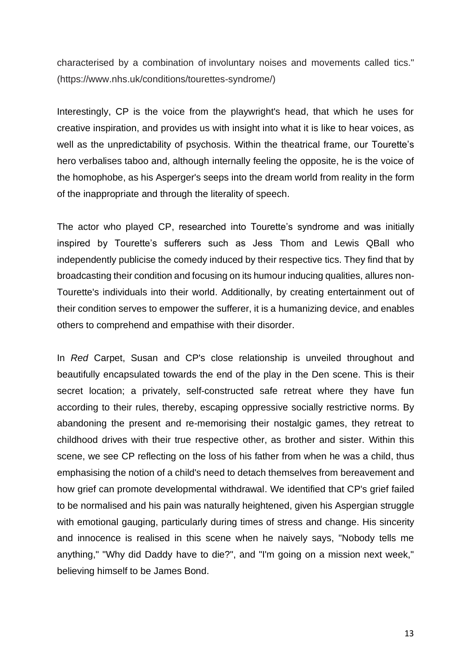characterised by a combination of involuntary noises and movements called tics." (https://www.nhs.uk/conditions/tourettes-syndrome/)

Interestingly, CP is the voice from the playwright's head, that which he uses for creative inspiration, and provides us with insight into what it is like to hear voices, as well as the unpredictability of psychosis. Within the theatrical frame, our Tourette's hero verbalises taboo and, although internally feeling the opposite, he is the voice of the homophobe, as his Asperger's seeps into the dream world from reality in the form of the inappropriate and through the literality of speech.

The actor who played CP, researched into Tourette's syndrome and was initially inspired by Tourette's sufferers such as Jess Thom and Lewis QBall who independently publicise the comedy induced by their respective tics. They find that by broadcasting their condition and focusing on its humour inducing qualities, allures non-Tourette's individuals into their world. Additionally, by creating entertainment out of their condition serves to empower the sufferer, it is a humanizing device, and enables others to comprehend and empathise with their disorder.

In *Red* Carpet, Susan and CP's close relationship is unveiled throughout and beautifully encapsulated towards the end of the play in the Den scene. This is their secret location; a privately, self-constructed safe retreat where they have fun according to their rules, thereby, escaping oppressive socially restrictive norms. By abandoning the present and re-memorising their nostalgic games, they retreat to childhood drives with their true respective other, as brother and sister. Within this scene, we see CP reflecting on the loss of his father from when he was a child, thus emphasising the notion of a child's need to detach themselves from bereavement and how grief can promote developmental withdrawal. We identified that CP's grief failed to be normalised and his pain was naturally heightened, given his Aspergian struggle with emotional gauging, particularly during times of stress and change. His sincerity and innocence is realised in this scene when he naively says, "Nobody tells me anything," "Why did Daddy have to die?", and "I'm going on a mission next week," believing himself to be James Bond.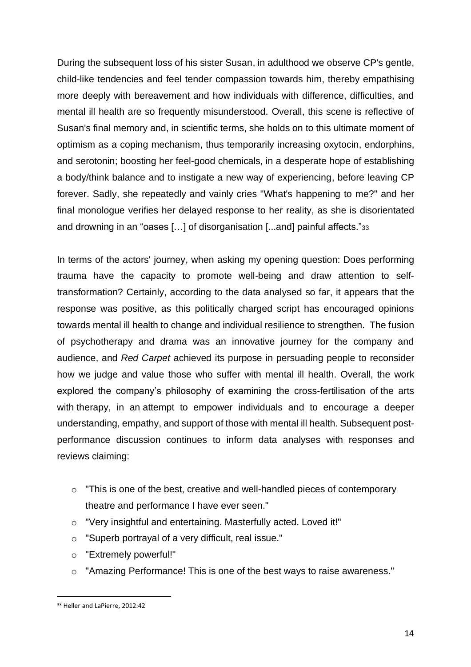During the subsequent loss of his sister Susan, in adulthood we observe CP's gentle, child-like tendencies and feel tender compassion towards him, thereby empathising more deeply with bereavement and how individuals with difference, difficulties, and mental ill health are so frequently misunderstood. Overall, this scene is reflective of Susan's final memory and, in scientific terms, she holds on to this ultimate moment of optimism as a coping mechanism, thus temporarily increasing oxytocin, endorphins, and serotonin; boosting her feel-good chemicals, in a desperate hope of establishing a body/think balance and to instigate a new way of experiencing, before leaving CP forever. Sadly, she repeatedly and vainly cries "What's happening to me?" and her final monologue verifies her delayed response to her reality, as she is disorientated and drowning in an "oases […] of disorganisation [...and] painful affects."<sup>33</sup>

In terms of the actors' journey, when asking my opening question: Does performing trauma have the capacity to promote well-being and draw attention to selftransformation? Certainly, according to the data analysed so far, it appears that the response was positive, as this politically charged script has encouraged opinions towards mental ill health to change and individual resilience to strengthen. The fusion of psychotherapy and drama was an innovative journey for the company and audience, and *Red Carpet* achieved its purpose in persuading people to reconsider how we judge and value those who suffer with mental ill health. Overall, the work explored the company's philosophy of examining the cross-fertilisation of the arts with therapy, in an attempt to empower individuals and to encourage a deeper understanding, empathy, and support of those with mental ill health. Subsequent postperformance discussion continues to inform data analyses with responses and reviews claiming:

- o "This is one of the best, creative and well-handled pieces of contemporary theatre and performance I have ever seen."
- o "Very insightful and entertaining. Masterfully acted. Loved it!"
- o "Superb portrayal of a very difficult, real issue."
- o "Extremely powerful!"
- $\circ$  "Amazing Performance! This is one of the best ways to raise awareness."

<sup>33</sup> Heller and LaPierre, 2012:42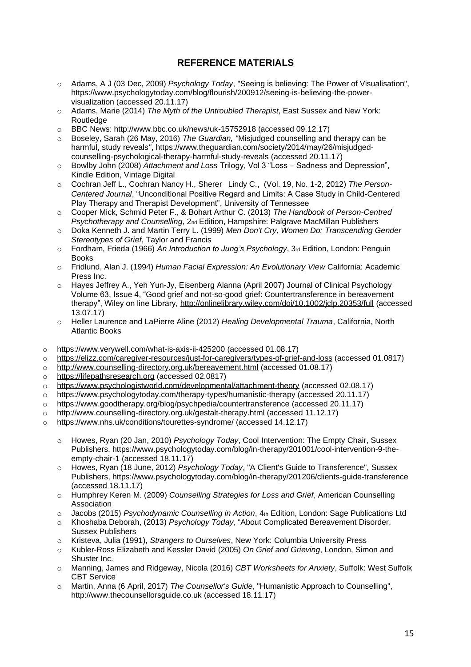## **REFERENCE MATERIALS**

- o Adams, A J (03 Dec, 2009) *Psychology Today*, "Seeing is believing: The Power of Visualisation", https://www.psychologytoday.com/blog/flourish/200912/seeing-is-believing-the-powervisualization (accessed 20.11.17)
- o Adams, Marie (2014) *The Myth of the Untroubled Therapist*, East Sussex and New York: **Routledge**
- o BBC News: http://www.bbc.co.uk/news/uk-15752918 (accessed 09.12.17)
- o Boseley, Sarah (26 May, 2016) *The Guardian, "*Misjudged counselling and therapy can be harmful, study reveals*"*, https://www.theguardian.com/society/2014/may/26/misjudgedcounselling-psychological-therapy-harmful-study-reveals (accessed 20.11.17)
- o Bowlby John (2008) *Attachment and Loss* Trilogy, Vol 3 "Loss Sadness and Depression", Kindle Edition, Vintage Digital
- o Cochran Jeff L., Cochran Nancy H., Sherer Lindy C., (Vol. 19, No. 1-2, 2012) *The Person-Centered Journal*, "Unconditional Positive Regard and Limits: A Case Study in Child-Centered Play Therapy and Therapist Development", University of Tennessee
- o Cooper Mick, Schmid Peter F., & Bohart Arthur C. (2013) *The Handbook of Person-Centred Psychotherapy and Counselling*, 2nd Edition, Hampshire: Palgrave MacMillan Publishers
- o Doka Kenneth J. and Martin Terry L. (1999) *Men Don't Cry, Women Do: Transcending Gender Stereotypes of Grief*, Taylor and Francis
- o Fordham, Frieda (1966) *An Introduction to Jung's Psychology*, 3rd Edition, London: Penguin Books
- o Fridlund, Alan J. (1994) *Human Facial Expression: An Evolutionary View* California: Academic Press Inc.
- o Hayes Jeffrey A., Yeh Yun-Jy, Eisenberg Alanna (April 2007) Journal of Clinical Psychology Volume 63, Issue 4, "Good grief and not-so-good grief: Countertransference in bereavement therapy", Wiley on line Library,<http://onlinelibrary.wiley.com/doi/10.1002/jclp.20353/full> (accessed 13.07.17)
- o Heller Laurence and LaPierre Aline (2012) *Healing Developmental Trauma*, California, North Atlantic Books
- o <https://www.verywell.com/what-is-axis-ii-425200> (accessed 01.08.17)
- o <https://elizz.com/caregiver-resources/just-for-caregivers/types-of-grief-and-loss> (accessed 01.0817)
- o <http://www.counselling-directory.org.uk/bereavement.html> (accessed 01.08.17)
- o [https://lifepathsresearch.org](https://lifepathsresearch.org/) (accessed 02.0817)
- o <https://www.psychologistworld.com/developmental/attachment-theory> (accessed 02.08.17)
- o https://www.psychologytoday.com/therapy-types/humanistic-therapy (accessed 20.11.17)
- o https://www.goodtherapy.org/blog/psychpedia/countertransference (accessed 20.11.17)
- o http://www.counselling-directory.org.uk/gestalt-therapy.html (accessed 11.12.17)
- o https://www.nhs.uk/conditions/tourettes-syndrome/ (accessed 14.12.17)
	- o Howes, Ryan (20 Jan, 2010) *Psychology Today*, Cool Intervention: The Empty Chair, Sussex Publishers, https://www.psychologytoday.com/blog/in-therapy/201001/cool-intervention-9-theempty-chair-1 (accessed 18.11.17)
	- o Howes, Ryan (18 June, 2012) *Psychology Today*, "A Client's Guide to Transference", Sussex Publishers, https://www.psychologytoday.com/blog/in-therapy/201206/clients-guide-transference (accessed 18.11.17)
	- o Humphrey Keren M. (2009) *Counselling Strategies for Loss and Grief*, American Counselling Association
	- o Jacobs (2015) *Psychodynamic Counselling in Action*, 4th Edition, London: Sage Publications Ltd
	- o Khoshaba Deborah, (2013) *Psychology Today*, "About Complicated Bereavement Disorder, Sussex Publishers
	- o Kristeva, Julia (1991), *Strangers to Ourselves*, New York: Columbia University Press
	- o Kubler-Ross Elizabeth and Kessler David (2005) *On Grief and Grieving*, London, Simon and Shuster Inc.
	- o Manning, James and Ridgeway, Nicola (2016) *CBT Worksheets for Anxiety*, Suffolk: West Suffolk CBT Service
	- o Martin, Anna (6 April, 2017) *The Counsellor's Guide*, "Humanistic Approach to Counselling", http://www.thecounsellorsguide.co.uk (accessed 18.11.17)